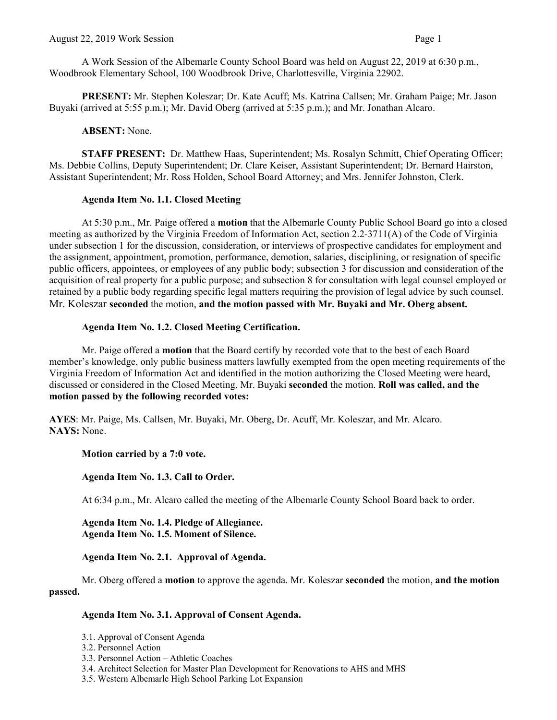A Work Session of the Albemarle County School Board was held on August 22, 2019 at 6:30 p.m., Woodbrook Elementary School, 100 Woodbrook Drive, Charlottesville, Virginia 22902.

**PRESENT:** Mr. Stephen Koleszar; Dr. Kate Acuff; Ms. Katrina Callsen; Mr. Graham Paige; Mr. Jason Buyaki (arrived at 5:55 p.m.); Mr. David Oberg (arrived at 5:35 p.m.); and Mr. Jonathan Alcaro.

# **ABSENT:** None.

**STAFF PRESENT:** Dr. Matthew Haas, Superintendent; Ms. Rosalyn Schmitt, Chief Operating Officer; Ms. Debbie Collins, Deputy Superintendent; Dr. Clare Keiser, Assistant Superintendent; Dr. Bernard Hairston, Assistant Superintendent; Mr. Ross Holden, School Board Attorney; and Mrs. Jennifer Johnston, Clerk.

# **Agenda Item No. 1.1. Closed Meeting**

At 5:30 p.m., Mr. Paige offered a **motion** that the Albemarle County Public School Board go into a closed meeting as authorized by the Virginia Freedom of Information Act, section 2.2-3711(A) of the Code of Virginia under subsection 1 for the discussion, consideration, or interviews of prospective candidates for employment and the assignment, appointment, promotion, performance, demotion, salaries, disciplining, or resignation of specific public officers, appointees, or employees of any public body; subsection 3 for discussion and consideration of the acquisition of real property for a public purpose; and subsection 8 for consultation with legal counsel employed or retained by a public body regarding specific legal matters requiring the provision of legal advice by such counsel. Mr. Koleszar **seconded** the motion, **and the motion passed with Mr. Buyaki and Mr. Oberg absent.**

# **Agenda Item No. 1.2. Closed Meeting Certification.**

Mr. Paige offered a **motion** that the Board certify by recorded vote that to the best of each Board member's knowledge, only public business matters lawfully exempted from the open meeting requirements of the Virginia Freedom of Information Act and identified in the motion authorizing the Closed Meeting were heard, discussed or considered in the Closed Meeting. Mr. Buyaki **seconded** the motion. **Roll was called, and the motion passed by the following recorded votes:**

**AYES**: Mr. Paige, Ms. Callsen, Mr. Buyaki, Mr. Oberg, Dr. Acuff, Mr. Koleszar, and Mr. Alcaro. **NAYS:** None.

**Motion carried by a 7:0 vote.**

**Agenda Item No. 1.3. Call to Order.** 

At 6:34 p.m., Mr. Alcaro called the meeting of the Albemarle County School Board back to order.

**Agenda Item No. 1.4. Pledge of Allegiance. Agenda Item No. 1.5. Moment of Silence.**

**Agenda Item No. 2.1. Approval of Agenda.** 

Mr. Oberg offered a **motion** to approve the agenda. Mr. Koleszar **seconded** the motion, **and the motion passed.** 

# **Agenda Item No. 3.1. Approval of Consent Agenda.**

- 3.1. Approval of Consent Agenda
- 3.2. Personnel Action
- 3.3. Personnel Action Athletic Coaches
- 3.4. Architect Selection for Master Plan Development for Renovations to AHS and MHS
- 3.5. Western Albemarle High School Parking Lot Expansion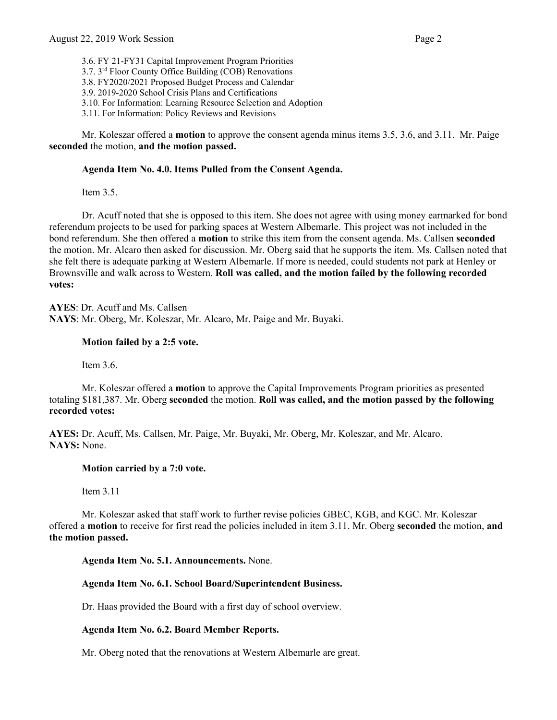3.6. FY 21-FY31 Capital Improvement Program Priorities 3.7. 3rd Floor County Office Building (COB) Renovations 3.8. FY2020/2021 Proposed Budget Process and Calendar 3.9. 2019-2020 School Crisis Plans and Certifications 3.10. For Information: Learning Resource Selection and Adoption 3.11. For Information: Policy Reviews and Revisions

Mr. Koleszar offered a **motion** to approve the consent agenda minus items 3.5, 3.6, and 3.11. Mr. Paige **seconded** the motion, **and the motion passed.** 

# **Agenda Item No. 4.0. Items Pulled from the Consent Agenda.**

Item 3.5.

Dr. Acuff noted that she is opposed to this item. She does not agree with using money earmarked for bond referendum projects to be used for parking spaces at Western Albemarle. This project was not included in the bond referendum. She then offered a **motion** to strike this item from the consent agenda. Ms. Callsen **seconded**  the motion. Mr. Alcaro then asked for discussion. Mr. Oberg said that he supports the item. Ms. Callsen noted that she felt there is adequate parking at Western Albemarle. If more is needed, could students not park at Henley or Brownsville and walk across to Western. **Roll was called, and the motion failed by the following recorded votes:**

**AYES**: Dr. Acuff and Ms. Callsen **NAYS**: Mr. Oberg, Mr. Koleszar, Mr. Alcaro, Mr. Paige and Mr. Buyaki.

## **Motion failed by a 2:5 vote.**

Item 3.6.

Mr. Koleszar offered a **motion** to approve the Capital Improvements Program priorities as presented totaling \$181,387. Mr. Oberg **seconded** the motion. **Roll was called, and the motion passed by the following recorded votes:**

**AYES:** Dr. Acuff, Ms. Callsen, Mr. Paige, Mr. Buyaki, Mr. Oberg, Mr. Koleszar, and Mr. Alcaro. **NAYS:** None.

## **Motion carried by a 7:0 vote.**

Item 3.11

Mr. Koleszar asked that staff work to further revise policies GBEC, KGB, and KGC. Mr. Koleszar offered a **motion** to receive for first read the policies included in item 3.11. Mr. Oberg **seconded** the motion, **and the motion passed.**

**Agenda Item No. 5.1. Announcements.** None.

# **Agenda Item No. 6.1. School Board/Superintendent Business.**

Dr. Haas provided the Board with a first day of school overview.

## **Agenda Item No. 6.2. Board Member Reports.**

Mr. Oberg noted that the renovations at Western Albemarle are great.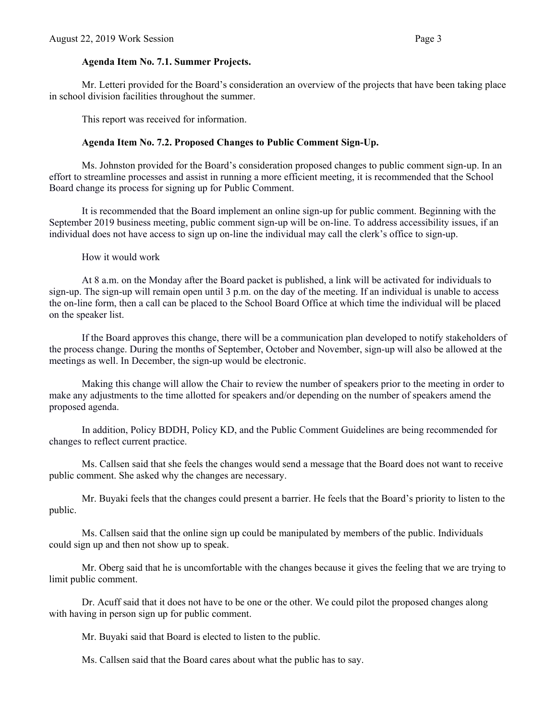#### **Agenda Item No. 7.1. Summer Projects.**

Mr. Letteri provided for the Board's consideration an overview of the projects that have been taking place in school division facilities throughout the summer.

This report was received for information.

#### **Agenda Item No. 7.2. Proposed Changes to Public Comment Sign-Up.**

Ms. Johnston provided for the Board's consideration proposed changes to public comment sign-up. In an effort to streamline processes and assist in running a more efficient meeting, it is recommended that the School Board change its process for signing up for Public Comment.

It is recommended that the Board implement an online sign-up for public comment. Beginning with the September 2019 business meeting, public comment sign-up will be on-line. To address accessibility issues, if an individual does not have access to sign up on-line the individual may call the clerk's office to sign-up.

How it would work

At 8 a.m. on the Monday after the Board packet is published, a link will be activated for individuals to sign-up. The sign-up will remain open until 3 p.m. on the day of the meeting. If an individual is unable to access the on-line form, then a call can be placed to the School Board Office at which time the individual will be placed on the speaker list.

If the Board approves this change, there will be a communication plan developed to notify stakeholders of the process change. During the months of September, October and November, sign-up will also be allowed at the meetings as well. In December, the sign-up would be electronic.

Making this change will allow the Chair to review the number of speakers prior to the meeting in order to make any adjustments to the time allotted for speakers and/or depending on the number of speakers amend the proposed agenda.

In addition, Policy BDDH, Policy KD, and the Public Comment Guidelines are being recommended for changes to reflect current practice.

Ms. Callsen said that she feels the changes would send a message that the Board does not want to receive public comment. She asked why the changes are necessary.

Mr. Buyaki feels that the changes could present a barrier. He feels that the Board's priority to listen to the public.

Ms. Callsen said that the online sign up could be manipulated by members of the public. Individuals could sign up and then not show up to speak.

Mr. Oberg said that he is uncomfortable with the changes because it gives the feeling that we are trying to limit public comment.

Dr. Acuff said that it does not have to be one or the other. We could pilot the proposed changes along with having in person sign up for public comment.

Mr. Buyaki said that Board is elected to listen to the public.

Ms. Callsen said that the Board cares about what the public has to say.